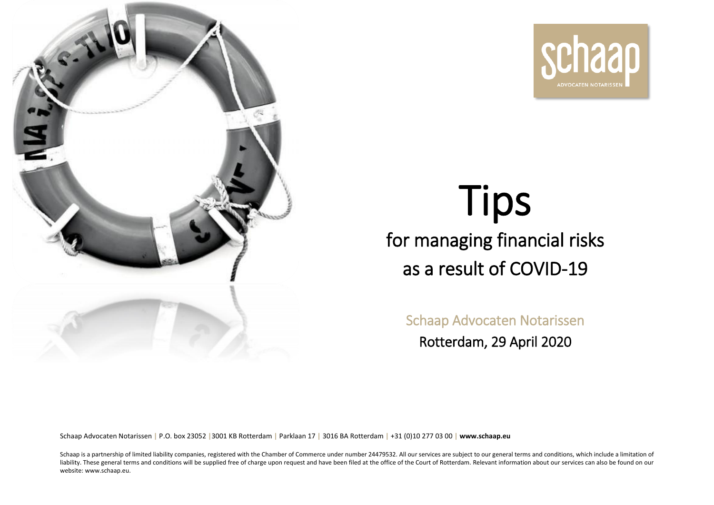



# Tips for managing financial risks as a result of COVID-19

Schaap Advocaten Notarissen Rotterdam, 29 April 2020

Schaap Advocaten Notarissen **|** P.O. box 23052 **|**3001 KB Rotterdam **|** Parklaan 17 **|** 3016 BA Rotterdam **|** +31 (0)10 277 03 00 **| [www.schaap.eu](https://www.schaap.eu/)**

Schaap is a partnership of limited liability companies, registered with the Chamber of Commerce under number 24479532. All our services are subject to our general terms and conditions, which include a limitation of liability. These general terms and conditions will be supplied free of charge upon request and have been filed at the office of the Court of Rotterdam. Relevant information about our services can also be found on our website: www.schaap.eu.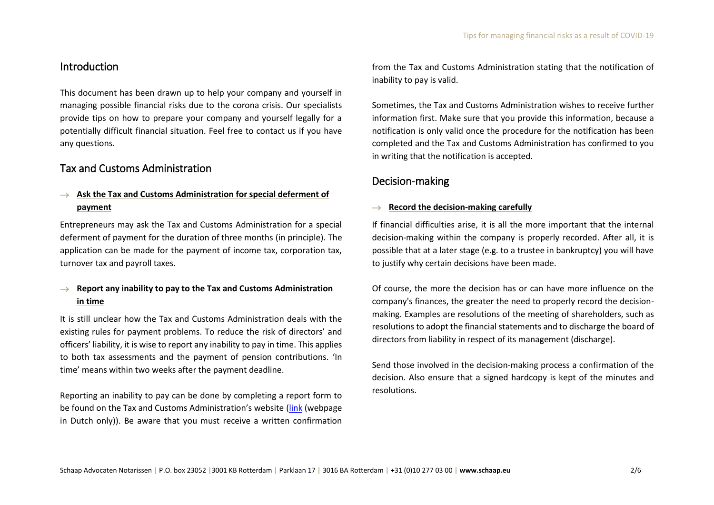## Introduction

This document has been drawn up to help your company and yourself in managing possible financial risks due to the corona crisis. Our specialists provide tips on how to prepare your company and yourself legally for a potentially difficult financial situation. Feel free to contact us if you have any questions.

## Tax and Customs Administration

## → **Ask the Tax and Customs Administration for special deferment of payment**

Entrepreneurs may ask the Tax and Customs Administration for a special deferment of payment for the duration of three months (in principle). The application can be made for the payment of income tax, corporation tax, turnover tax and payroll taxes.

#### → **Report any inability to pay to the Tax and Customs Administration in time**

It is still unclear how the Tax and Customs Administration deals with the existing rules for payment problems. To reduce the risk of directors' and officers' liability, it is wise to report any inability to pay in time. This applies to both tax assessments and the payment of pension contributions. 'In time' means within two weeks after the payment deadline.

Reporting an inability to pay can be done by completing a report form to be found on the Tax and Customs Administration's website [\(link](https://www.belastingdienst.nl/wps/wcm/connect/bldcontentnl/themaoverstijgend/programmas_en_formulieren/melding_van_betalingsonmacht_bij_belastingen_en_premies) (webpage in Dutch only)). Be aware that you must receive a written confirmation from the Tax and Customs Administration stating that the notification of inability to pay is valid.

Sometimes, the Tax and Customs Administration wishes to receive further information first. Make sure that you provide this information, because a notification is only valid once the procedure for the notification has been completed and the Tax and Customs Administration has confirmed to you in writing that the notification is accepted.

# Decision-making

#### → **Record the decision-making carefully**

If financial difficulties arise, it is all the more important that the internal decision-making within the company is properly recorded. After all, it is possible that at a later stage (e.g. to a trustee in bankruptcy) you will have to justify why certain decisions have been made.

Of course, the more the decision has or can have more influence on the company's finances, the greater the need to properly record the decisionmaking. Examples are resolutions of the meeting of shareholders, such as resolutions to adopt the financial statements and to discharge the board of directors from liability in respect of its management (discharge).

Send those involved in the decision-making process a confirmation of the decision. Also ensure that a signed hardcopy is kept of the minutes and resolutions.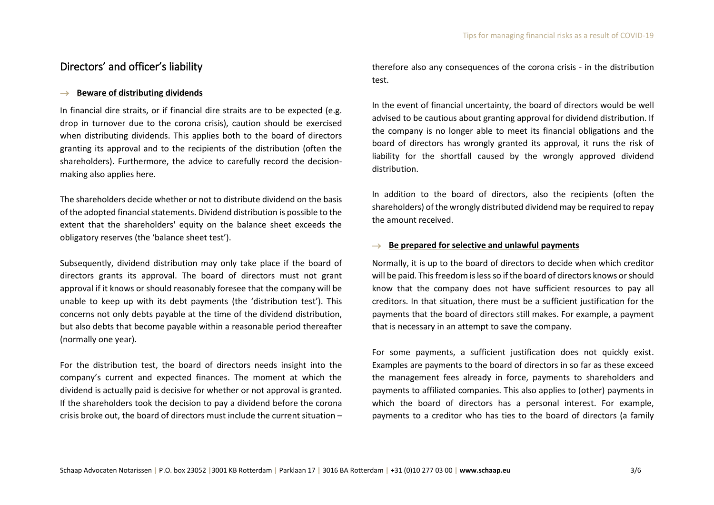# Directors' and officer's liability

#### → **Beware of distributing dividends**

In financial dire straits, or if financial dire straits are to be expected (e.g. drop in turnover due to the corona crisis), caution should be exercised when distributing dividends. This applies both to the board of directors granting its approval and to the recipients of the distribution (often the shareholders). Furthermore, the advice to carefully record the decisionmaking also applies here.

The shareholders decide whether or not to distribute dividend on the basis of the adopted financial statements. Dividend distribution is possible to the extent that the shareholders' equity on the balance sheet exceeds the obligatory reserves (the 'balance sheet test').

Subsequently, dividend distribution may only take place if the board of directors grants its approval. The board of directors must not grant approval if it knows or should reasonably foresee that the company will be unable to keep up with its debt payments (the 'distribution test'). This concerns not only debts payable at the time of the dividend distribution, but also debts that become payable within a reasonable period thereafter (normally one year).

For the distribution test, the board of directors needs insight into the company's current and expected finances. The moment at which the dividend is actually paid is decisive for whether or not approval is granted. If the shareholders took the decision to pay a dividend before the corona crisis broke out, the board of directors must include the current situation – therefore also any consequences of the corona crisis - in the distribution test.

In the event of financial uncertainty, the board of directors would be well advised to be cautious about granting approval for dividend distribution. If the company is no longer able to meet its financial obligations and the board of directors has wrongly granted its approval, it runs the risk of liability for the shortfall caused by the wrongly approved dividend distribution.

In addition to the board of directors, also the recipients (often the shareholders) of the wrongly distributed dividend may be required to repay the amount received.

#### → **Be prepared for selective and unlawful payments**

Normally, it is up to the board of directors to decide when which creditor will be paid. This freedom is less so if the board of directors knows or should know that the company does not have sufficient resources to pay all creditors. In that situation, there must be a sufficient justification for the payments that the board of directors still makes. For example, a payment that is necessary in an attempt to save the company.

For some payments, a sufficient justification does not quickly exist. Examples are payments to the board of directors in so far as these exceed the management fees already in force, payments to shareholders and payments to affiliated companies. This also applies to (other) payments in which the board of directors has a personal interest. For example, payments to a creditor who has ties to the board of directors (a family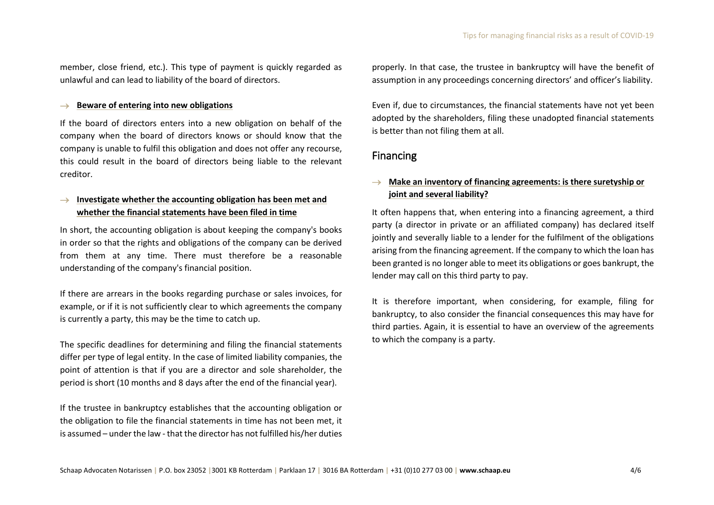member, close friend, etc.). This type of payment is quickly regarded as unlawful and can lead to liability of the board of directors.

#### → **Beware of entering into new obligations**

If the board of directors enters into a new obligation on behalf of the company when the board of directors knows or should know that the company is unable to fulfil this obligation and does not offer any recourse, this could result in the board of directors being liable to the relevant creditor.

## → **Investigate whether the accounting obligation has been met and whether the financial statements have been filed in time**

In short, the accounting obligation is about keeping the company's books in order so that the rights and obligations of the company can be derived from them at any time. There must therefore be a reasonable understanding of the company's financial position.

If there are arrears in the books regarding purchase or sales invoices, for example, or if it is not sufficiently clear to which agreements the company is currently a party, this may be the time to catch up.

The specific deadlines for determining and filing the financial statements differ per type of legal entity. In the case of limited liability companies, the point of attention is that if you are a director and sole shareholder, the period is short (10 months and 8 days after the end of the financial year).

If the trustee in bankruptcy establishes that the accounting obligation or the obligation to file the financial statements in time has not been met, it is assumed – under the law - that the director has not fulfilled his/her duties

properly. In that case, the trustee in bankruptcy will have the benefit of assumption in any proceedings concerning directors' and officer's liability.

Even if, due to circumstances, the financial statements have not yet been adopted by the shareholders, filing these unadopted financial statements is better than not filing them at all.

#### Financing

## → **Make an inventory of financing agreements: is there suretyship or joint and several liability?**

It often happens that, when entering into a financing agreement, a third party (a director in private or an affiliated company) has declared itself jointly and severally liable to a lender for the fulfilment of the obligations arising from the financing agreement. If the company to which the loan has been granted is no longer able to meet its obligations or goes bankrupt, the lender may call on this third party to pay.

It is therefore important, when considering, for example, filing for bankruptcy, to also consider the financial consequences this may have for third parties. Again, it is essential to have an overview of the agreements to which the company is a party.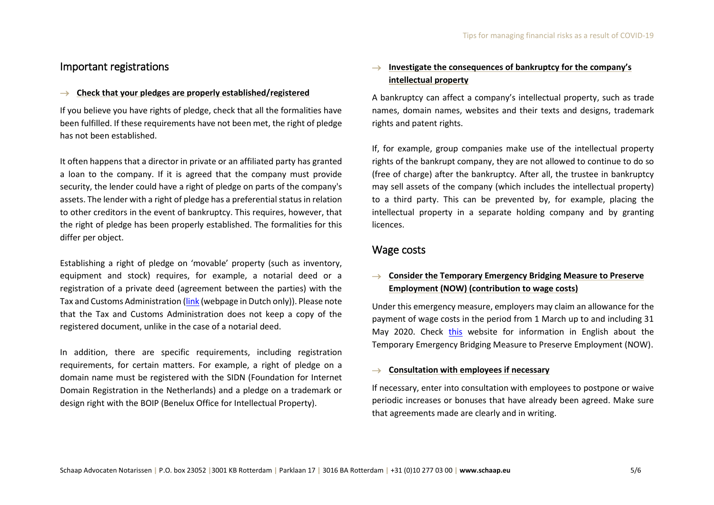## Important registrations

#### → **Check that your pledges are properly established/registered**

If you believe you have rights of pledge, check that all the formalities have been fulfilled. If these requirements have not been met, the right of pledge has not been established.

It often happens that a director in private or an affiliated party has granted a loan to the company. If it is agreed that the company must provide security, the lender could have a right of pledge on parts of the company's assets. The lender with a right of pledge has a preferential status in relation to other creditors in the event of bankruptcy. This requires, however, that the right of pledge has been properly established. The formalities for this differ per object.

Establishing a right of pledge on 'movable' property (such as inventory, equipment and stock) requires, for example, a notarial deed or a registration of a private deed (agreement between the parties) with the Tax and Customs Administration [\(link](https://www.belastingdienst.nl/wps/wcm/connect/bldcontentnl/standaard_functies/prive/contact/andere_onderwerpen/registratie_van_onderhandse_akten/) (webpage in Dutch only)). Please note that the Tax and Customs Administration does not keep a copy of the registered document, unlike in the case of a notarial deed.

In addition, there are specific requirements, including registration requirements, for certain matters. For example, a right of pledge on a domain name must be registered with the SIDN (Foundation for Internet Domain Registration in the Netherlands) and a pledge on a trademark or design right with the BOIP (Benelux Office for Intellectual Property).

## → **Investigate the consequences of bankruptcy for the company's intellectual property**

A bankruptcy can affect a company's intellectual property, such as trade names, domain names, websites and their texts and designs, trademark rights and patent rights.

If, for example, group companies make use of the intellectual property rights of the bankrupt company, they are not allowed to continue to do so (free of charge) after the bankruptcy. After all, the trustee in bankruptcy may sell assets of the company (which includes the intellectual property) to a third party. This can be prevented by, for example, placing the intellectual property in a separate holding company and by granting licences.

#### Wage costs

## → **Consider the Temporary Emergency Bridging Measure to Preserve Employment (NOW) (contribution to wage costs)**

Under this emergency measure, employers may claim an allowance for the payment of wage costs in the period from 1 March up to and including 31 May 2020. Check [this](https://business.gov.nl/subsidy/corona-crisis-temporary-emergency-measure-now/) website for information in English about the Temporary Emergency Bridging Measure to Preserve Employment (NOW).

#### → **Consultation with employees if necessary**

If necessary, enter into consultation with employees to postpone or waive periodic increases or bonuses that have already been agreed. Make sure that agreements made are clearly and in writing.